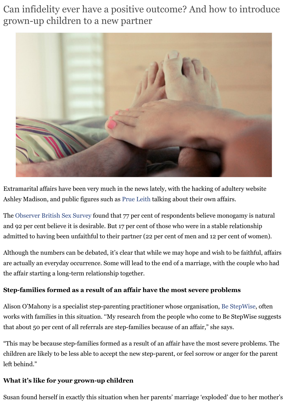

Extramarital affairs have been very much in the news lately, with the hacking of adultery we Ashley Madison, and public figures such as Prue Leith talking about their own affairs.

The Observer British Sex Survey found that 77 per cent of respondents believe monogamy is and 92 per cent believe it is desirable. But 17 per cent of those who were in a stable relations admitted to having been unfaithful to their partner (22 per cent of men and 12 per cent of w

Although the numbers can be debated, it's clear that while we may hope and wish to be faith are actually an everyday occurrence. Some will lead to the end of a marriage, with the couple the affair starting a long-term relationship [together.](http://www.independent.co.uk/news/people/prue-leith-claims-an-affair-with-a-married-man-helped-her-become-so-successful-a6673291.html)

### **Ste[p-families formed as a re](http://www.theguardian.com/lifeandstyle/2014/sep/28/british-sex-survey-2014-nation-lost-sexual-swagger)sult of an affair have the most severe problems**

Alison O'Mahony is a specialist step-parenting practitioner whose organisation, Be StepWis works with families in this situation. "My research from the people who come to Be StepWise that about 50 per cent of all referrals are step-families because of an affair," she says.

"This may be because step-families formed as a result of an affair have the most severe prob children are likely to be less able to accept the new step-parent, or feel sorrow or anger for the left behind."

## **What it's like for your grown-up children**

Susan found herself in exactly this situation when her parents' marriage 'exploded' due to he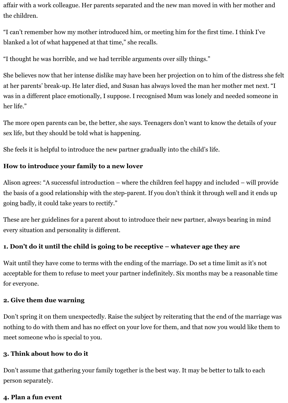affair with a work colleague. Her parents separated and the new man moved in with her mother and the children.

"I can't remember how my mother introduced him, or meeting him for the first time. I think I've blanked a lot of what happened at that time," she recalls.

"I thought he was horrible, and we had terrible arguments over silly things."

She believes now that her intense dislike may have been her projection on to him of the distress she felt at her parents' break-up. He later died, and Susan has always loved the man her mother met next. "I was in a different place emotionally, I suppose. I recognised Mum was lonely and needed someone in her life."

The more open parents can be, the better, she says. Teenagers don't want to know the details of your sex life, but they should be told what is happening.

She feels it is helpful to introduce the new partner gradually into the child's life.

## **How to introduce your family to a new lover**

Alison agrees: "A successful introduction – where the children feel happy and included – will provide the basis of a good relationship with the step-parent. If you don't think it through well and it ends up going badly, it could take years to rectify."

These are her guidelines for a parent about to introduce their new partner, always bearing in mind every situation and personality is different.

## **1. Don't do it until the child is going to be receptive – whatever age they are**

Wait until they have come to terms with the ending of the marriage. Do set a time limit as it's not acceptable for them to refuse to meet your partner indefinitely. Six months may be a reasonable time for everyone.

#### **2. Give them due warning**

Don't spring it on them unexpectedly. Raise the subject by reiterating that the end of the marriage was nothing to do with them and has no effect on your love for them, and that now you would like them to meet someone who is special to you.

## **3. Think about how to do it**

Don't assume that gathering your family together is the best way. It may be better to talk to each person separately.

#### **4. Plan a fun event**